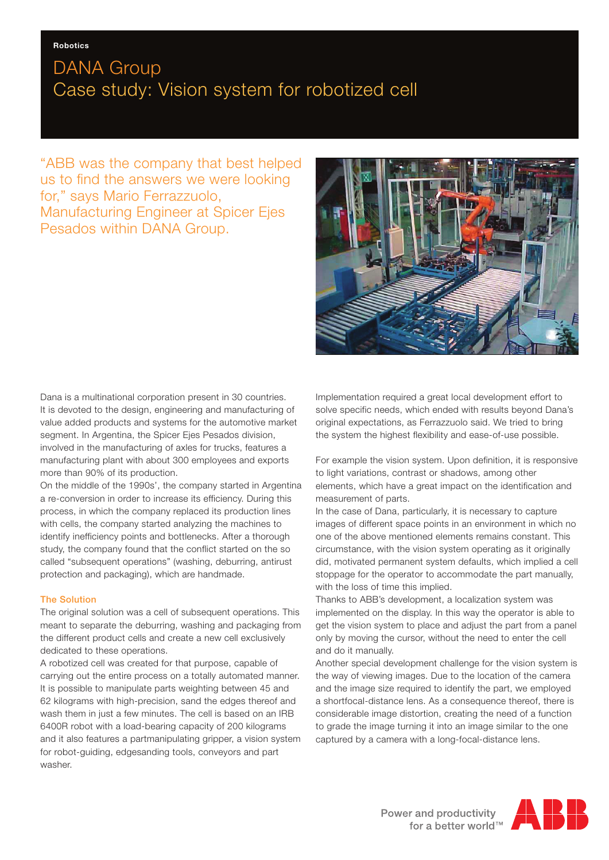## DANA Group Case study: Vision system for robotized cell

"ABB was the company that best helped us to find the answers we were looking for," says Mario Ferrazzuolo, Manufacturing Engineer at Spicer Ejes Pesados within DANA Group.



Dana is a multinational corporation present in 30 countries. It is devoted to the design, engineering and manufacturing of value added products and systems for the automotive market segment. In Argentina, the Spicer Ejes Pesados division, involved in the manufacturing of axles for trucks, features a manufacturing plant with about 300 employees and exports more than 90% of its production.

On the middle of the 1990s', the company started in Argentina a re-conversion in order to increase its efficiency. During this process, in which the company replaced its production lines with cells, the company started analyzing the machines to identify inefficiency points and bottlenecks. After a thorough study, the company found that the conflict started on the so called "subsequent operations" (washing, deburring, antirust protection and packaging), which are handmade.

### The Solution

The original solution was a cell of subsequent operations. This meant to separate the deburring, washing and packaging from the different product cells and create a new cell exclusively dedicated to these operations.

A robotized cell was created for that purpose, capable of carrying out the entire process on a totally automated manner. It is possible to manipulate parts weighting between 45 and 62 kilograms with high-precision, sand the edges thereof and wash them in just a few minutes. The cell is based on an IRB 6400R robot with a load-bearing capacity of 200 kilograms and it also features a partmanipulating gripper, a vision system for robot-guiding, edgesanding tools, conveyors and part washer.

Implementation required a great local development effort to solve specific needs, which ended with results beyond Dana's original expectations, as Ferrazzuolo said. We tried to bring the system the highest flexibility and ease-of-use possible.

For example the vision system. Upon definition, it is responsive to light variations, contrast or shadows, among other elements, which have a great impact on the identification and measurement of parts.

In the case of Dana, particularly, it is necessary to capture images of different space points in an environment in which no one of the above mentioned elements remains constant. This circumstance, with the vision system operating as it originally did, motivated permanent system defaults, which implied a cell stoppage for the operator to accommodate the part manually, with the loss of time this implied.

Thanks to ABB's development, a localization system was implemented on the display. In this way the operator is able to get the vision system to place and adjust the part from a panel only by moving the cursor, without the need to enter the cell and do it manually.

Another special development challenge for the vision system is the way of viewing images. Due to the location of the camera and the image size required to identify the part, we employed a shortfocal-distance lens. As a consequence thereof, there is considerable image distortion, creating the need of a function to grade the image turning it into an image similar to the one captured by a camera with a long-focal-distance lens.